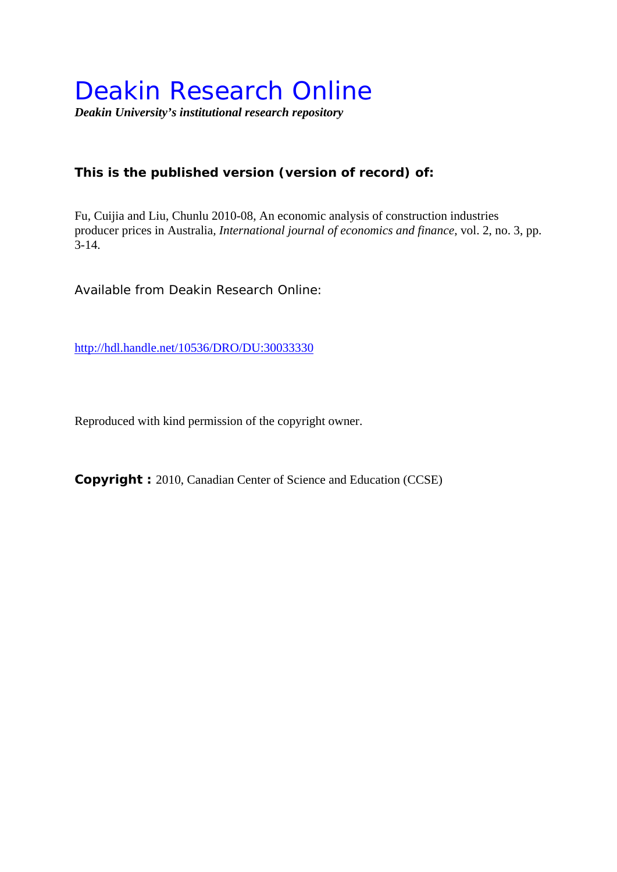# Deakin Research Online

*Deakin University's institutional research repository* 

## **This is the published version (version of record) of:**

Fu, Cuijia and Liu, Chunlu 2010-08, An economic analysis of construction industries producer prices in Australia*, International journal of economics and finance*, vol. 2, no. 3, pp.  $3 - 14$ .

Available from Deakin Research Online:

http://hdl.handle.net/10536/DRO/DU:30033330

Reproduced with kind permission of the copyright owner.

**Copyright :** 2010, Canadian Center of Science and Education (CCSE)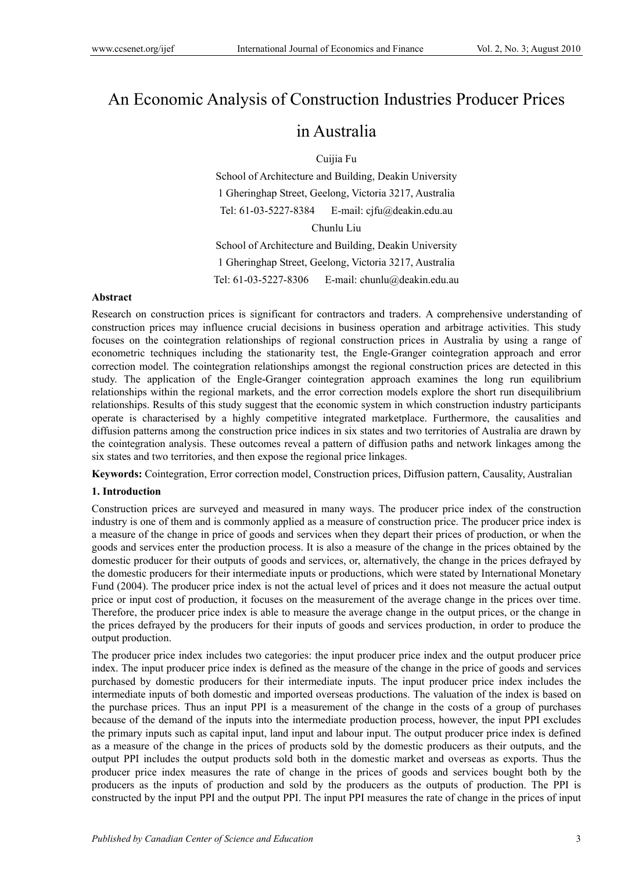# An Economic Analysis of Construction Industries Producer Prices

### in Australia

Cuijia Fu

School of Architecture and Building, Deakin University 1 Gheringhap Street, Geelong, Victoria 3217, Australia Tel: 61-03-5227-8384 E-mail: cjfu@deakin.edu.au

Chunlu Liu

School of Architecture and Building, Deakin University 1 Gheringhap Street, Geelong, Victoria 3217, Australia Tel: 61-03-5227-8306 E-mail: chunlu@deakin.edu.au

#### **Abstract**

Research on construction prices is significant for contractors and traders. A comprehensive understanding of construction prices may influence crucial decisions in business operation and arbitrage activities. This study focuses on the cointegration relationships of regional construction prices in Australia by using a range of econometric techniques including the stationarity test, the Engle-Granger cointegration approach and error correction model. The cointegration relationships amongst the regional construction prices are detected in this study. The application of the Engle-Granger cointegration approach examines the long run equilibrium relationships within the regional markets, and the error correction models explore the short run disequilibrium relationships. Results of this study suggest that the economic system in which construction industry participants operate is characterised by a highly competitive integrated marketplace. Furthermore, the causalities and diffusion patterns among the construction price indices in six states and two territories of Australia are drawn by the cointegration analysis. These outcomes reveal a pattern of diffusion paths and network linkages among the six states and two territories, and then expose the regional price linkages.

**Keywords:** Cointegration, Error correction model, Construction prices, Diffusion pattern, Causality, Australian

#### **1. Introduction**

Construction prices are surveyed and measured in many ways. The producer price index of the construction industry is one of them and is commonly applied as a measure of construction price. The producer price index is a measure of the change in price of goods and services when they depart their prices of production, or when the goods and services enter the production process. It is also a measure of the change in the prices obtained by the domestic producer for their outputs of goods and services, or, alternatively, the change in the prices defrayed by the domestic producers for their intermediate inputs or productions, which were stated by International Monetary Fund (2004). The producer price index is not the actual level of prices and it does not measure the actual output price or input cost of production, it focuses on the measurement of the average change in the prices over time. Therefore, the producer price index is able to measure the average change in the output prices, or the change in the prices defrayed by the producers for their inputs of goods and services production, in order to produce the output production.

The producer price index includes two categories: the input producer price index and the output producer price index. The input producer price index is defined as the measure of the change in the price of goods and services purchased by domestic producers for their intermediate inputs. The input producer price index includes the intermediate inputs of both domestic and imported overseas productions. The valuation of the index is based on the purchase prices. Thus an input PPI is a measurement of the change in the costs of a group of purchases because of the demand of the inputs into the intermediate production process, however, the input PPI excludes the primary inputs such as capital input, land input and labour input. The output producer price index is defined as a measure of the change in the prices of products sold by the domestic producers as their outputs, and the output PPI includes the output products sold both in the domestic market and overseas as exports. Thus the producer price index measures the rate of change in the prices of goods and services bought both by the producers as the inputs of production and sold by the producers as the outputs of production. The PPI is constructed by the input PPI and the output PPI. The input PPI measures the rate of change in the prices of input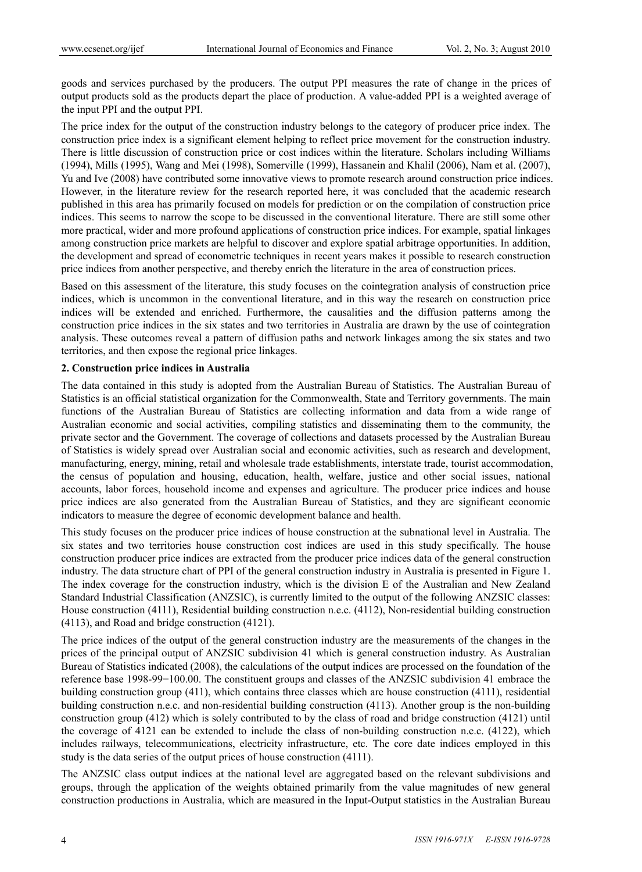goods and services purchased by the producers. The output PPI measures the rate of change in the prices of output products sold as the products depart the place of production. A value-added PPI is a weighted average of the input PPI and the output PPI.

The price index for the output of the construction industry belongs to the category of producer price index. The construction price index is a significant element helping to reflect price movement for the construction industry. There is little discussion of construction price or cost indices within the literature. Scholars including Williams (1994), Mills (1995), Wang and Mei (1998), Somerville (1999), Hassanein and Khalil (2006), Nam et al. (2007), Yu and Ive (2008) have contributed some innovative views to promote research around construction price indices. However, in the literature review for the research reported here, it was concluded that the academic research published in this area has primarily focused on models for prediction or on the compilation of construction price indices. This seems to narrow the scope to be discussed in the conventional literature. There are still some other more practical, wider and more profound applications of construction price indices. For example, spatial linkages among construction price markets are helpful to discover and explore spatial arbitrage opportunities. In addition, the development and spread of econometric techniques in recent years makes it possible to research construction price indices from another perspective, and thereby enrich the literature in the area of construction prices.

Based on this assessment of the literature, this study focuses on the cointegration analysis of construction price indices, which is uncommon in the conventional literature, and in this way the research on construction price indices will be extended and enriched. Furthermore, the causalities and the diffusion patterns among the construction price indices in the six states and two territories in Australia are drawn by the use of cointegration analysis. These outcomes reveal a pattern of diffusion paths and network linkages among the six states and two territories, and then expose the regional price linkages.

#### **2. Construction price indices in Australia**

The data contained in this study is adopted from the Australian Bureau of Statistics. The Australian Bureau of Statistics is an official statistical organization for the Commonwealth, State and Territory governments. The main functions of the Australian Bureau of Statistics are collecting information and data from a wide range of Australian economic and social activities, compiling statistics and disseminating them to the community, the private sector and the Government. The coverage of collections and datasets processed by the Australian Bureau of Statistics is widely spread over Australian social and economic activities, such as research and development, manufacturing, energy, mining, retail and wholesale trade establishments, interstate trade, tourist accommodation, the census of population and housing, education, health, welfare, justice and other social issues, national accounts, labor forces, household income and expenses and agriculture. The producer price indices and house price indices are also generated from the Australian Bureau of Statistics, and they are significant economic indicators to measure the degree of economic development balance and health.

This study focuses on the producer price indices of house construction at the subnational level in Australia. The six states and two territories house construction cost indices are used in this study specifically. The house construction producer price indices are extracted from the producer price indices data of the general construction industry. The data structure chart of PPI of the general construction industry in Australia is presented in Figure 1. The index coverage for the construction industry, which is the division E of the Australian and New Zealand Standard Industrial Classification (ANZSIC), is currently limited to the output of the following ANZSIC classes: House construction (4111), Residential building construction n.e.c. (4112), Non-residential building construction (4113), and Road and bridge construction (4121).

The price indices of the output of the general construction industry are the measurements of the changes in the prices of the principal output of ANZSIC subdivision 41 which is general construction industry. As Australian Bureau of Statistics indicated (2008), the calculations of the output indices are processed on the foundation of the reference base 1998-99=100.00. The constituent groups and classes of the ANZSIC subdivision 41 embrace the building construction group (411), which contains three classes which are house construction (4111), residential building construction n.e.c. and non-residential building construction (4113). Another group is the non-building construction group (412) which is solely contributed to by the class of road and bridge construction (4121) until the coverage of 4121 can be extended to include the class of non-building construction n.e.c. (4122), which includes railways, telecommunications, electricity infrastructure, etc. The core date indices employed in this study is the data series of the output prices of house construction (4111).

The ANZSIC class output indices at the national level are aggregated based on the relevant subdivisions and groups, through the application of the weights obtained primarily from the value magnitudes of new general construction productions in Australia, which are measured in the Input-Output statistics in the Australian Bureau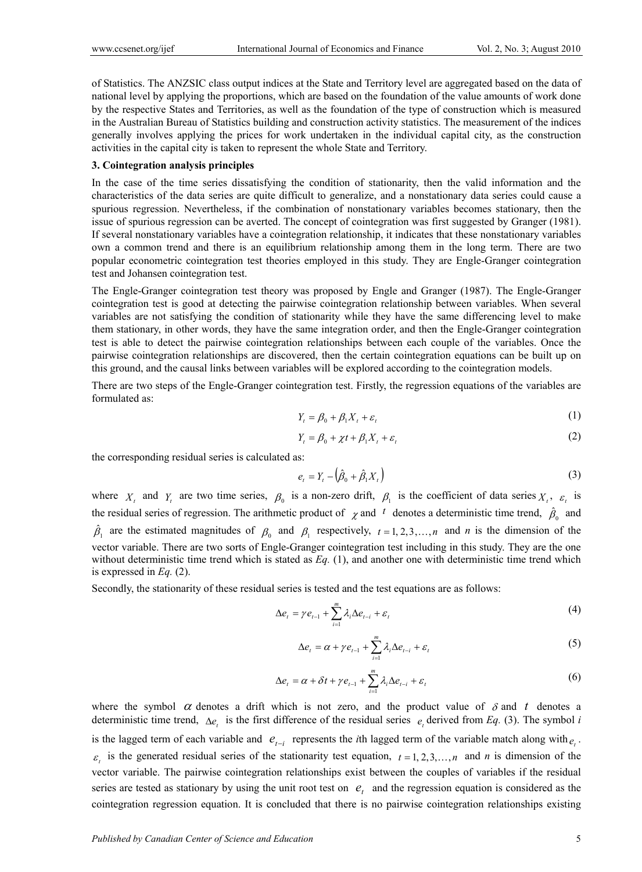of Statistics. The ANZSIC class output indices at the State and Territory level are aggregated based on the data of national level by applying the proportions, which are based on the foundation of the value amounts of work done by the respective States and Territories, as well as the foundation of the type of construction which is measured in the Australian Bureau of Statistics building and construction activity statistics. The measurement of the indices generally involves applying the prices for work undertaken in the individual capital city, as the construction activities in the capital city is taken to represent the whole State and Territory.

#### **3. Cointegration analysis principles**

In the case of the time series dissatisfying the condition of stationarity, then the valid information and the characteristics of the data series are quite difficult to generalize, and a nonstationary data series could cause a spurious regression. Nevertheless, if the combination of nonstationary variables becomes stationary, then the issue of spurious regression can be averted. The concept of cointegration was first suggested by Granger (1981). If several nonstationary variables have a cointegration relationship, it indicates that these nonstationary variables own a common trend and there is an equilibrium relationship among them in the long term. There are two popular econometric cointegration test theories employed in this study. They are Engle-Granger cointegration test and Johansen cointegration test.

The Engle-Granger cointegration test theory was proposed by Engle and Granger (1987). The Engle-Granger cointegration test is good at detecting the pairwise cointegration relationship between variables. When several variables are not satisfying the condition of stationarity while they have the same differencing level to make them stationary, in other words, they have the same integration order, and then the Engle-Granger cointegration test is able to detect the pairwise cointegration relationships between each couple of the variables. Once the pairwise cointegration relationships are discovered, then the certain cointegration equations can be built up on this ground, and the causal links between variables will be explored according to the cointegration models.

There are two steps of the Engle-Granger cointegration test. Firstly, the regression equations of the variables are formulated as:

$$
Y_t = \beta_0 + \beta_1 X_t + \varepsilon_t \tag{1}
$$

$$
Y_t = \beta_0 + \chi t + \beta_1 X_t + \varepsilon_t \tag{2}
$$

the corresponding residual series is calculated as:

$$
e_t = Y_t - \left(\hat{\beta}_0 + \hat{\beta}_1 X_t\right) \tag{3}
$$

where  $X_t$  and  $Y_t$  are two time series,  $\beta_0$  is a non-zero drift,  $\beta_1$  is the coefficient of data series  $X_t$ ,  $\varepsilon_t$  is the residual series of regression. The arithmetic product of  $\chi$  and <sup>t</sup> denotes a deterministic time trend,  $\hat{\beta}_0$  and  $\hat{\beta}_1$  are the estimated magnitudes of  $\beta_0$  and  $\beta_1$  respectively,  $t = 1, 2, 3, ..., n$  and *n* is the dimension of the vector variable. There are two sorts of Engle-Granger cointegration test including in this study. They are the one without deterministic time trend which is stated as  $Eq. (1)$ , and another one with deterministic time trend which is expressed in *Eq.* (2).

Secondly, the stationarity of these residual series is tested and the test equations are as follows:

$$
\Delta e_t = \gamma e_{t-1} + \sum_{i=1}^m \lambda_i \Delta e_{t-i} + \varepsilon_t \tag{4}
$$

$$
\Delta e_t = \alpha + \gamma e_{t-1} + \sum_{i=1}^m \lambda_i \Delta e_{t-i} + \varepsilon_t
$$
\n(5)

$$
\Delta e_t = \alpha + \delta t + \gamma e_{t-1} + \sum_{i=1}^m \lambda_i \Delta e_{t-i} + \varepsilon_t
$$
\n(6)

where the symbol  $\alpha$  denotes a drift which is not zero, and the product value of  $\delta$  and  $t$  denotes a deterministic time trend,  $\Delta e_t$  is the first difference of the residual series  $e_t$  derived from  $Eq. (3)$ . The symbol *i* is the lagged term of each variable and  $e_{t-i}$  represents the *i*th lagged term of the variable match along with  $e_{t}$ .  $\varepsilon$  is the generated residual series of the stationarity test equation,  $t = 1, 2, 3, \dots, n$  and *n* is dimension of the vector variable. The pairwise cointegration relationships exist between the couples of variables if the residual series are tested as stationary by using the unit root test on  $e<sub>t</sub>$  and the regression equation is considered as the cointegration regression equation. It is concluded that there is no pairwise cointegration relationships existing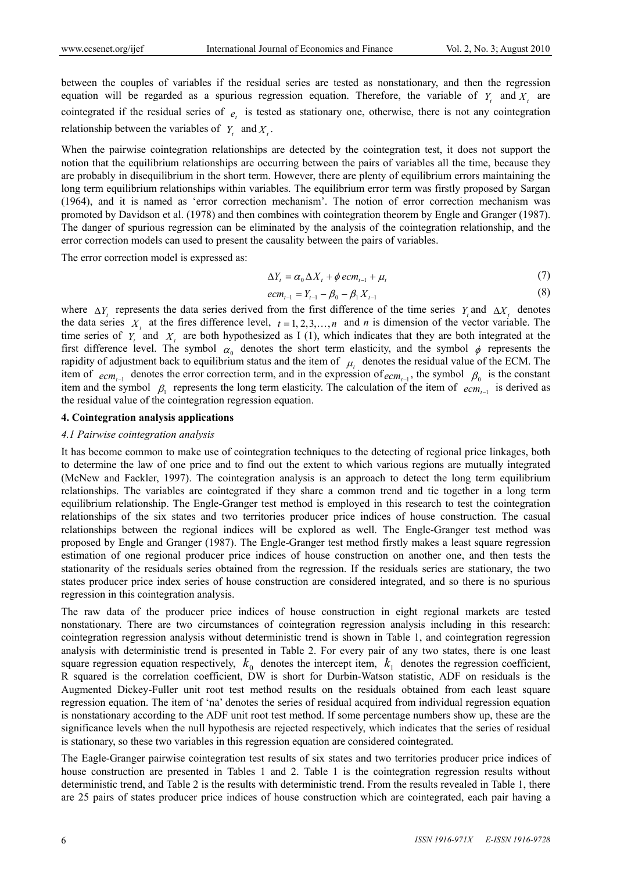between the couples of variables if the residual series are tested as nonstationary, and then the regression equation will be regarded as a spurious regression equation. Therefore, the variable of  $Y_1$  and  $X_2$  are cointegrated if the residual series of  $e<sub>r</sub>$  is tested as stationary one, otherwise, there is not any cointegration relationship between the variables of  $Y_t$  and  $X_t$ .

When the pairwise cointegration relationships are detected by the cointegration test, it does not support the notion that the equilibrium relationships are occurring between the pairs of variables all the time, because they are probably in disequilibrium in the short term. However, there are plenty of equilibrium errors maintaining the long term equilibrium relationships within variables. The equilibrium error term was firstly proposed by Sargan (1964), and it is named as 'error correction mechanism'. The notion of error correction mechanism was promoted by Davidson et al. (1978) and then combines with cointegration theorem by Engle and Granger (1987). The danger of spurious regression can be eliminated by the analysis of the cointegration relationship, and the error correction models can used to present the causality between the pairs of variables.

The error correction model is expressed as:

$$
\Delta Y_t = \alpha_0 \Delta X_t + \phi \, e cm_{t-1} + \mu_t \tag{7}
$$

$$
ecm_{t-1} = Y_{t-1} - \beta_0 - \beta_1 X_{t-1}
$$
\n(8)

where  $\Delta Y$ , represents the data series derived from the first difference of the time series  $Y$ <sub>*t*</sub> and  $\Delta X$ , denotes the data series  $X_t$  at the fires difference level,  $t = 1, 2, 3, \dots, n$  and *n* is dimension of the vector variable. The time series of  $Y_t$  and  $X_t$  are both hypothesized as I (1), which indicates that they are both integrated at the first difference level. The symbol  $\alpha_0$  denotes the short term elasticity, and the symbol  $\phi$  represents the rapidity of adjustment back to equilibrium status and the item of  $\mu_t$  denotes the residual value of the ECM. The item of  $e_{cm_{t-1}}$  denotes the error correction term, and in the expression of  $e_{cm_{t-1}}$ , the symbol  $\beta_0$  is the constant item and the symbol  $\beta_1$  represents the long term elasticity. The calculation of the item of  $e_{\text{cm}}$  is derived as the residual value of the cointegration regression equation.

#### **4. Cointegration analysis applications**

#### *4.1 Pairwise cointegration analysis*

It has become common to make use of cointegration techniques to the detecting of regional price linkages, both to determine the law of one price and to find out the extent to which various regions are mutually integrated (McNew and Fackler, 1997). The cointegration analysis is an approach to detect the long term equilibrium relationships. The variables are cointegrated if they share a common trend and tie together in a long term equilibrium relationship. The Engle-Granger test method is employed in this research to test the cointegration relationships of the six states and two territories producer price indices of house construction. The casual relationships between the regional indices will be explored as well. The Engle-Granger test method was proposed by Engle and Granger (1987). The Engle-Granger test method firstly makes a least square regression estimation of one regional producer price indices of house construction on another one, and then tests the stationarity of the residuals series obtained from the regression. If the residuals series are stationary, the two states producer price index series of house construction are considered integrated, and so there is no spurious regression in this cointegration analysis.

The raw data of the producer price indices of house construction in eight regional markets are tested nonstationary. There are two circumstances of cointegration regression analysis including in this research: cointegration regression analysis without deterministic trend is shown in Table 1, and cointegration regression analysis with deterministic trend is presented in Table 2. For every pair of any two states, there is one least square regression equation respectively,  $k_0$  denotes the intercept item,  $k_1$  denotes the regression coefficient, R squared is the correlation coefficient, DW is short for Durbin-Watson statistic, ADF on residuals is the Augmented Dickey-Fuller unit root test method results on the residuals obtained from each least square regression equation. The item of 'na' denotes the series of residual acquired from individual regression equation is nonstationary according to the ADF unit root test method. If some percentage numbers show up, these are the significance levels when the null hypothesis are rejected respectively, which indicates that the series of residual is stationary, so these two variables in this regression equation are considered cointegrated.

The Eagle-Granger pairwise cointegration test results of six states and two territories producer price indices of house construction are presented in Tables 1 and 2. Table 1 is the cointegration regression results without deterministic trend, and Table 2 is the results with deterministic trend. From the results revealed in Table 1, there are 25 pairs of states producer price indices of house construction which are cointegrated, each pair having a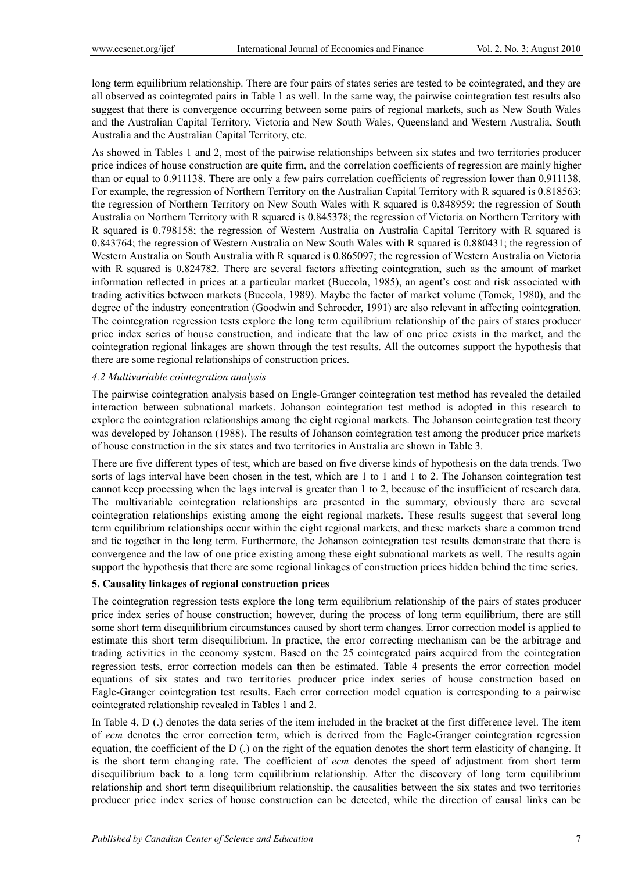long term equilibrium relationship. There are four pairs of states series are tested to be cointegrated, and they are all observed as cointegrated pairs in Table 1 as well. In the same way, the pairwise cointegration test results also suggest that there is convergence occurring between some pairs of regional markets, such as New South Wales and the Australian Capital Territory, Victoria and New South Wales, Queensland and Western Australia, South Australia and the Australian Capital Territory, etc.

As showed in Tables 1 and 2, most of the pairwise relationships between six states and two territories producer price indices of house construction are quite firm, and the correlation coefficients of regression are mainly higher than or equal to 0.911138. There are only a few pairs correlation coefficients of regression lower than 0.911138. For example, the regression of Northern Territory on the Australian Capital Territory with R squared is 0.818563; the regression of Northern Territory on New South Wales with R squared is 0.848959; the regression of South Australia on Northern Territory with R squared is 0.845378; the regression of Victoria on Northern Territory with R squared is 0.798158; the regression of Western Australia on Australia Capital Territory with R squared is 0.843764; the regression of Western Australia on New South Wales with R squared is 0.880431; the regression of Western Australia on South Australia with R squared is 0.865097; the regression of Western Australia on Victoria with R squared is 0.824782. There are several factors affecting cointegration, such as the amount of market information reflected in prices at a particular market (Buccola, 1985), an agent's cost and risk associated with trading activities between markets (Buccola, 1989). Maybe the factor of market volume (Tomek, 1980), and the degree of the industry concentration (Goodwin and Schroeder, 1991) are also relevant in affecting cointegration. The cointegration regression tests explore the long term equilibrium relationship of the pairs of states producer price index series of house construction, and indicate that the law of one price exists in the market, and the cointegration regional linkages are shown through the test results. All the outcomes support the hypothesis that there are some regional relationships of construction prices.

#### *4.2 Multivariable cointegration analysis*

The pairwise cointegration analysis based on Engle-Granger cointegration test method has revealed the detailed interaction between subnational markets. Johanson cointegration test method is adopted in this research to explore the cointegration relationships among the eight regional markets. The Johanson cointegration test theory was developed by Johanson (1988). The results of Johanson cointegration test among the producer price markets of house construction in the six states and two territories in Australia are shown in Table 3.

There are five different types of test, which are based on five diverse kinds of hypothesis on the data trends. Two sorts of lags interval have been chosen in the test, which are 1 to 1 and 1 to 2. The Johanson cointegration test cannot keep processing when the lags interval is greater than 1 to 2, because of the insufficient of research data. The multivariable cointegration relationships are presented in the summary, obviously there are several cointegration relationships existing among the eight regional markets. These results suggest that several long term equilibrium relationships occur within the eight regional markets, and these markets share a common trend and tie together in the long term. Furthermore, the Johanson cointegration test results demonstrate that there is convergence and the law of one price existing among these eight subnational markets as well. The results again support the hypothesis that there are some regional linkages of construction prices hidden behind the time series.

#### **5. Causality linkages of regional construction prices**

The cointegration regression tests explore the long term equilibrium relationship of the pairs of states producer price index series of house construction; however, during the process of long term equilibrium, there are still some short term disequilibrium circumstances caused by short term changes. Error correction model is applied to estimate this short term disequilibrium. In practice, the error correcting mechanism can be the arbitrage and trading activities in the economy system. Based on the 25 cointegrated pairs acquired from the cointegration regression tests, error correction models can then be estimated. Table 4 presents the error correction model equations of six states and two territories producer price index series of house construction based on Eagle-Granger cointegration test results. Each error correction model equation is corresponding to a pairwise cointegrated relationship revealed in Tables 1 and 2.

In Table 4, D (.) denotes the data series of the item included in the bracket at the first difference level. The item of *ecm* denotes the error correction term, which is derived from the Eagle-Granger cointegration regression equation, the coefficient of the D (.) on the right of the equation denotes the short term elasticity of changing. It is the short term changing rate. The coefficient of *ecm* denotes the speed of adjustment from short term disequilibrium back to a long term equilibrium relationship. After the discovery of long term equilibrium relationship and short term disequilibrium relationship, the causalities between the six states and two territories producer price index series of house construction can be detected, while the direction of causal links can be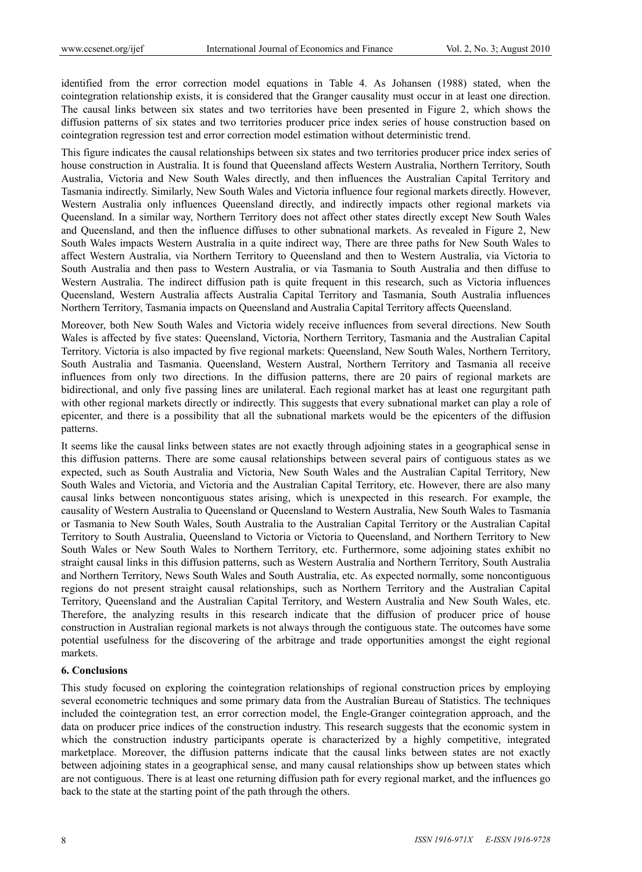identified from the error correction model equations in Table 4. As Johansen (1988) stated, when the cointegration relationship exists, it is considered that the Granger causality must occur in at least one direction. The causal links between six states and two territories have been presented in Figure 2, which shows the diffusion patterns of six states and two territories producer price index series of house construction based on cointegration regression test and error correction model estimation without deterministic trend.

This figure indicates the causal relationships between six states and two territories producer price index series of house construction in Australia. It is found that Queensland affects Western Australia, Northern Territory, South Australia, Victoria and New South Wales directly, and then influences the Australian Capital Territory and Tasmania indirectly. Similarly, New South Wales and Victoria influence four regional markets directly. However, Western Australia only influences Queensland directly, and indirectly impacts other regional markets via Queensland. In a similar way, Northern Territory does not affect other states directly except New South Wales and Queensland, and then the influence diffuses to other subnational markets. As revealed in Figure 2, New South Wales impacts Western Australia in a quite indirect way, There are three paths for New South Wales to affect Western Australia, via Northern Territory to Queensland and then to Western Australia, via Victoria to South Australia and then pass to Western Australia, or via Tasmania to South Australia and then diffuse to Western Australia. The indirect diffusion path is quite frequent in this research, such as Victoria influences Queensland, Western Australia affects Australia Capital Territory and Tasmania, South Australia influences Northern Territory, Tasmania impacts on Queensland and Australia Capital Territory affects Queensland.

Moreover, both New South Wales and Victoria widely receive influences from several directions. New South Wales is affected by five states: Queensland, Victoria, Northern Territory, Tasmania and the Australian Capital Territory. Victoria is also impacted by five regional markets: Queensland, New South Wales, Northern Territory, South Australia and Tasmania. Queensland, Western Austral, Northern Territory and Tasmania all receive influences from only two directions. In the diffusion patterns, there are 20 pairs of regional markets are bidirectional, and only five passing lines are unilateral. Each regional market has at least one regurgitant path with other regional markets directly or indirectly. This suggests that every subnational market can play a role of epicenter, and there is a possibility that all the subnational markets would be the epicenters of the diffusion patterns.

It seems like the causal links between states are not exactly through adjoining states in a geographical sense in this diffusion patterns. There are some causal relationships between several pairs of contiguous states as we expected, such as South Australia and Victoria, New South Wales and the Australian Capital Territory, New South Wales and Victoria, and Victoria and the Australian Capital Territory, etc. However, there are also many causal links between noncontiguous states arising, which is unexpected in this research. For example, the causality of Western Australia to Queensland or Queensland to Western Australia, New South Wales to Tasmania or Tasmania to New South Wales, South Australia to the Australian Capital Territory or the Australian Capital Territory to South Australia, Queensland to Victoria or Victoria to Queensland, and Northern Territory to New South Wales or New South Wales to Northern Territory, etc. Furthermore, some adjoining states exhibit no straight causal links in this diffusion patterns, such as Western Australia and Northern Territory, South Australia and Northern Territory, News South Wales and South Australia, etc. As expected normally, some noncontiguous regions do not present straight causal relationships, such as Northern Territory and the Australian Capital Territory, Queensland and the Australian Capital Territory, and Western Australia and New South Wales, etc. Therefore, the analyzing results in this research indicate that the diffusion of producer price of house construction in Australian regional markets is not always through the contiguous state. The outcomes have some potential usefulness for the discovering of the arbitrage and trade opportunities amongst the eight regional markets.

#### **6. Conclusions**

This study focused on exploring the cointegration relationships of regional construction prices by employing several econometric techniques and some primary data from the Australian Bureau of Statistics. The techniques included the cointegration test, an error correction model, the Engle-Granger cointegration approach, and the data on producer price indices of the construction industry. This research suggests that the economic system in which the construction industry participants operate is characterized by a highly competitive, integrated marketplace. Moreover, the diffusion patterns indicate that the causal links between states are not exactly between adjoining states in a geographical sense, and many causal relationships show up between states which are not contiguous. There is at least one returning diffusion path for every regional market, and the influences go back to the state at the starting point of the path through the others.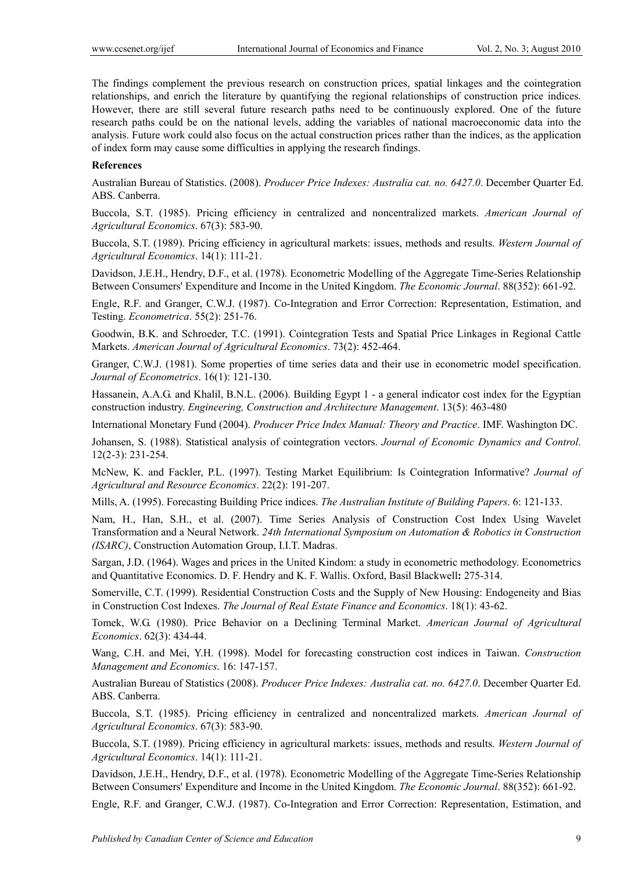The findings complement the previous research on construction prices, spatial linkages and the cointegration relationships, and enrich the literature by quantifying the regional relationships of construction price indices. However, there are still several future research paths need to be continuously explored. One of the future research paths could be on the national levels, adding the variables of national macroeconomic data into the analysis. Future work could also focus on the actual construction prices rather than the indices, as the application of index form may cause some difficulties in applying the research findings.

#### **References**

Australian Bureau of Statistics. (2008). *Producer Price Indexes: Australia cat. no. 6427.0*. December Quarter Ed. ABS. Canberra.

Buccola, S.T. (1985). Pricing efficiency in centralized and noncentralized markets. *American Journal of Agricultural Economics*. 67(3): 583-90.

Buccola, S.T. (1989). Pricing efficiency in agricultural markets: issues, methods and results. *Western Journal of Agricultural Economics*. 14(1): 111-21.

Davidson, J.E.H., Hendry, D.F., et al. (1978). Econometric Modelling of the Aggregate Time-Series Relationship Between Consumers' Expenditure and Income in the United Kingdom. *The Economic Journal*. 88(352): 661-92.

Engle, R.F. and Granger, C.W.J. (1987). Co-Integration and Error Correction: Representation, Estimation, and Testing. *Econometrica*. 55(2): 251-76.

Goodwin, B.K. and Schroeder, T.C. (1991). Cointegration Tests and Spatial Price Linkages in Regional Cattle Markets. *American Journal of Agricultural Economics*. 73(2): 452-464.

Granger, C.W.J. (1981). Some properties of time series data and their use in econometric model specification. *Journal of Econometrics*. 16(1): 121-130.

Hassanein, A.A.G. and Khalil, B.N.L. (2006). Building Egypt 1 - a general indicator cost index for the Egyptian construction industry. *Engineering, Construction and Architecture Management*. 13(5): 463-480

International Monetary Fund (2004). *Producer Price Index Manual: Theory and Practice*. IMF. Washington DC.

Johansen, S. (1988). Statistical analysis of cointegration vectors. *Journal of Economic Dynamics and Control*. 12(2-3): 231-254.

McNew, K. and Fackler, P.L. (1997). Testing Market Equilibrium: Is Cointegration Informative? *Journal of Agricultural and Resource Economics*. 22(2): 191-207.

Mills, A. (1995). Forecasting Building Price indices. *The Australian Institute of Building Papers*. 6: 121-133.

Nam, H., Han, S.H., et al. (2007). Time Series Analysis of Construction Cost Index Using Wavelet Transformation and a Neural Network. *24th International Symposium on Automation & Robotics in Construction (ISARC)*, Construction Automation Group, I.I.T. Madras.

Sargan, J.D. (1964). Wages and prices in the United Kindom: a study in econometric methodology. Econometrics and Quantitative Economics. D. F. Hendry and K. F. Wallis. Oxford, Basil Blackwell**:** 275-314.

Somerville, C.T. (1999). Residential Construction Costs and the Supply of New Housing: Endogeneity and Bias in Construction Cost Indexes. *The Journal of Real Estate Finance and Economics*. 18(1): 43-62.

Tomek, W.G. (1980). Price Behavior on a Declining Terminal Market. *American Journal of Agricultural Economics*. 62(3): 434-44.

Wang, C.H. and Mei, Y.H. (1998). Model for forecasting construction cost indices in Taiwan. *Construction Management and Economics*. 16: 147-157.

Australian Bureau of Statistics (2008). *Producer Price Indexes: Australia cat. no. 6427.0*. December Quarter Ed. ABS. Canberra.

Buccola, S.T. (1985). Pricing efficiency in centralized and noncentralized markets. *American Journal of Agricultural Economics*. 67(3): 583-90.

Buccola, S.T. (1989). Pricing efficiency in agricultural markets: issues, methods and results. *Western Journal of Agricultural Economics*. 14(1): 111-21.

Davidson, J.E.H., Hendry, D.F., et al. (1978). Econometric Modelling of the Aggregate Time-Series Relationship Between Consumers' Expenditure and Income in the United Kingdom. *The Economic Journal*. 88(352): 661-92.

Engle, R.F. and Granger, C.W.J. (1987). Co-Integration and Error Correction: Representation, Estimation, and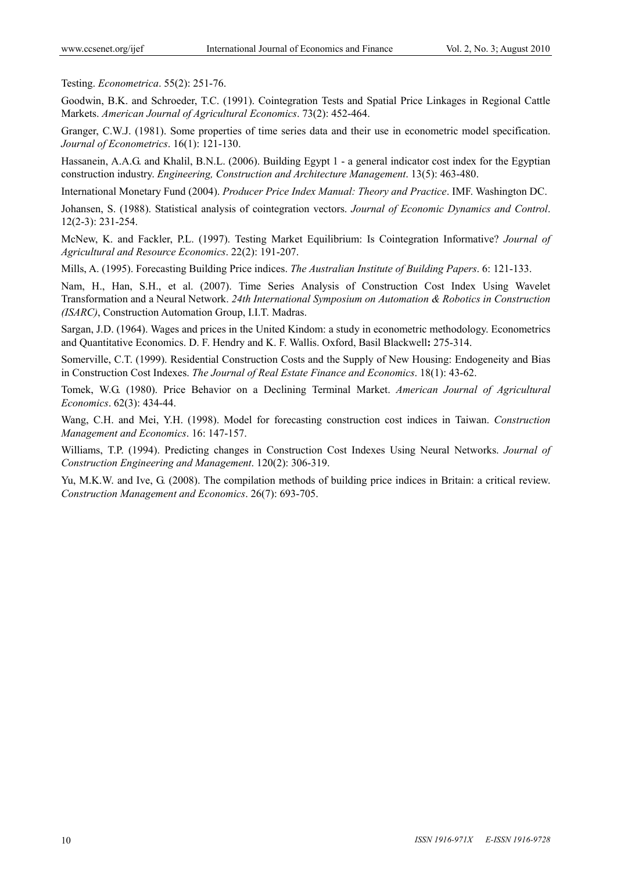Testing. *Econometrica*. 55(2): 251-76.

Goodwin, B.K. and Schroeder, T.C. (1991). Cointegration Tests and Spatial Price Linkages in Regional Cattle Markets. *American Journal of Agricultural Economics*. 73(2): 452-464.

Granger, C.W.J. (1981). Some properties of time series data and their use in econometric model specification. *Journal of Econometrics*. 16(1): 121-130.

Hassanein, A.A.G. and Khalil, B.N.L. (2006). Building Egypt 1 - a general indicator cost index for the Egyptian construction industry. *Engineering, Construction and Architecture Management*. 13(5): 463-480.

International Monetary Fund (2004). *Producer Price Index Manual: Theory and Practice*. IMF. Washington DC.

Johansen, S. (1988). Statistical analysis of cointegration vectors. *Journal of Economic Dynamics and Control*. 12(2-3): 231-254.

McNew, K. and Fackler, P.L. (1997). Testing Market Equilibrium: Is Cointegration Informative? *Journal of Agricultural and Resource Economics*. 22(2): 191-207.

Mills, A. (1995). Forecasting Building Price indices. *The Australian Institute of Building Papers*. 6: 121-133.

Nam, H., Han, S.H., et al. (2007). Time Series Analysis of Construction Cost Index Using Wavelet Transformation and a Neural Network. *24th International Symposium on Automation & Robotics in Construction (ISARC)*, Construction Automation Group, I.I.T. Madras.

Sargan, J.D. (1964). Wages and prices in the United Kindom: a study in econometric methodology. Econometrics and Quantitative Economics. D. F. Hendry and K. F. Wallis. Oxford, Basil Blackwell**:** 275-314.

Somerville, C.T. (1999). Residential Construction Costs and the Supply of New Housing: Endogeneity and Bias in Construction Cost Indexes. *The Journal of Real Estate Finance and Economics*. 18(1): 43-62.

Tomek, W.G. (1980). Price Behavior on a Declining Terminal Market. *American Journal of Agricultural Economics*. 62(3): 434-44.

Wang, C.H. and Mei, Y.H. (1998). Model for forecasting construction cost indices in Taiwan. *Construction Management and Economics*. 16: 147-157.

Williams, T.P. (1994). Predicting changes in Construction Cost Indexes Using Neural Networks. *Journal of Construction Engineering and Management*. 120(2): 306-319.

Yu, M.K.W. and Ive, G. (2008). The compilation methods of building price indices in Britain: a critical review. *Construction Management and Economics*. 26(7): 693-705.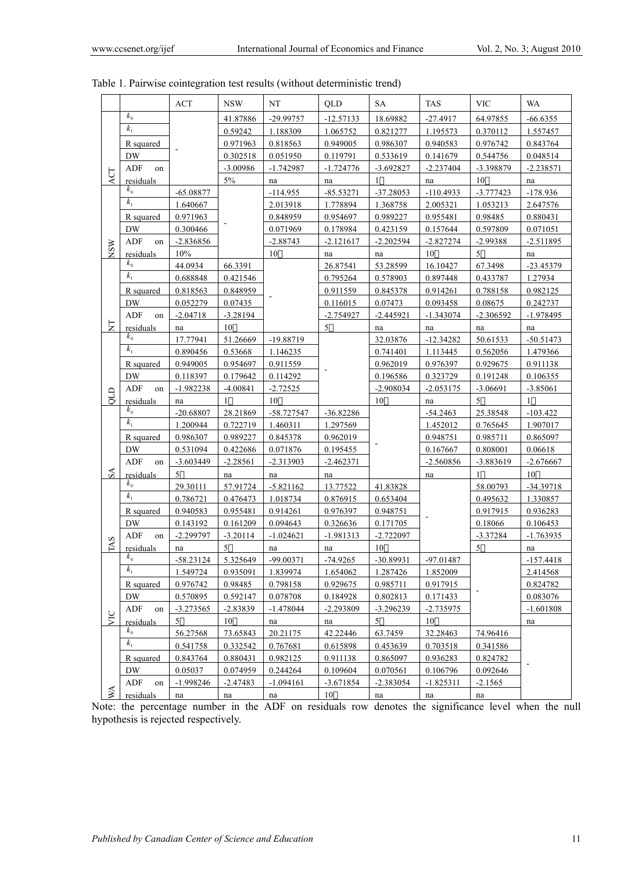|                     |                        | <b>ACT</b>           | $_{\rm NSW}$     | NT                | QLD             | <b>SA</b>         | <b>TAS</b>        | <b>VIC</b>      | WA           |
|---------------------|------------------------|----------------------|------------------|-------------------|-----------------|-------------------|-------------------|-----------------|--------------|
|                     | $k_{0}$                |                      | 41.87886         | -29.99757         | $-12.57133$     | 18.69882          | $-27.4917$        | 64.97855        | $-66.6355$   |
| ACT                 | $k_1$                  |                      | 0.59242          | 1.188309          | 1.065752        | 0.821277          | 1.195573          | 0.370112        | 1.557457     |
|                     | R squared              |                      | 0.971963         | 0.818563          | 0.949005        | 0.986307          | 0.940583          | 0.976742        | 0.843764     |
|                     | <b>DW</b>              |                      | 0.302518         | 0.051950          | 0.119791        | 0.533619          | 0.141679          | 0.544756        | 0.048514     |
|                     | ADF<br>on              |                      | $-3.00986$       | $-1.742987$       | $-1.724776$     | $-3.692827$       | $-2.237404$       | -3.398879       | $-2.238571$  |
|                     | residuals              |                      | $5\%$            | na                | na              | $\mathbf{1}$      | na                | 10              | na           |
|                     | $k_0$                  | $-65.08877$          |                  | $-114.955$        | $-85.53271$     | $-37.28053$       | $-110.4933$       | $-3.777423$     | $-178.936$   |
|                     | k <sub>1</sub>         | 1.640667             |                  | 2.013918          | 1.778894        | 1.368758          | 2.005321          | 1.053213        | 2.647576     |
|                     | R squared              | 0.971963<br>0.300466 |                  | 0.848959          | 0.954697        | 0.989227          | 0.955481          | 0.98485         | 0.880431     |
|                     | <b>DW</b>              |                      |                  | 0.071969          | 0.178984        | 0.423159          | 0.157644          | 0.597809        | 0.071051     |
|                     | ADF<br>on              | $-2.836856$          |                  | $-2.88743$        | $-2.121617$     | $-2.202594$       | $-2.827274$       | -2.99388        | $-2.511895$  |
| <b>NSW</b>          | residuals              | 10%                  |                  | 10                | na              | na                | 10                | 5 <sup>5</sup>  | na           |
|                     | $k_{0}$                | 44.0934              | 66.3391          |                   | 26.87541        | 53.28599          | 16.10427          | 67.3498         | -23.45379    |
|                     | $k_{1}$                | 0.688848             | 0.421546         |                   | 0.795264        | 0.578903          | 0.897448          | 0.433787        | 1.27934      |
|                     | R squared              | 0.818563             | 0.848959         |                   | 0.911559        | 0.845378          | 0.914261          | 0.788158        | 0.982125     |
|                     | <b>DW</b>              | 0.052279             | 0.07435          |                   | 0.116015        | 0.07473           | 0.093458          | 0.08675         | 0.242737     |
|                     | ADF<br>on              | $-2.04718$           | $-3.28194$       |                   | $-2.754927$     | $-2.445921$       | $-1.343074$       | $-2.306592$     | $-1.978495$  |
| $\overline{\Sigma}$ | residuals              | na                   | 10               |                   | 5               | na                | na                | na              | na           |
|                     | $k_0$                  | 17.77941             | 51.26669         | -19.88719         |                 | 32.03876          | $-12.34282$       | 50.61533        | $-50.51473$  |
|                     | $k_{1}$                | 0.890456             | 0.53668          | 1.146235          |                 | 0.741401          | 1.113445          | 0.562056        | 1.479366     |
|                     | R squared              | 0.949005             | 0.954697         | 0.911559          |                 | 0.962019          | 0.976397          | 0.929675        | 0.911138     |
|                     | <b>DW</b>              | 0.118397             | 0.179642         | 0.114292          |                 | 0.196586          | 0.323729          | 0.191248        | 0.106355     |
|                     | ADF<br>on              | $-1.982238$          | $-4.00841$       | $-2.72525$        | $-2.908034$     | $-2.053175$       | $-3.06691$        | $-3.85061$      |              |
|                     |                        |                      |                  |                   |                 |                   |                   |                 |              |
| qrp                 | residuals              | na                   | $\mathbf{1}$     | 10                |                 | 10                | na                | 5 <sup>5</sup>  | $\mathbf{1}$ |
|                     | $k_0$                  | $-20.68807$          | 28.21869         | -58.727547        | $-36.82286$     |                   | $-54.2463$        | 25.38548        | $-103.422$   |
|                     | $k_1$                  | 1.200944             | 0.722719         | 1.460311          | 1.297569        |                   | 1.452012          | 0.765645        | 1.907017     |
|                     | R squared              | 0.986307             | 0.989227         | 0.845378          | 0.962019        |                   | 0.948751          | 0.985711        | 0.865097     |
|                     | <b>DW</b>              | 0.531094             | 0.422686         | 0.071876          | 0.195455        |                   | 0.167667          | 0.808001        | 0.06618      |
|                     | ADF<br>on              | $-3.603449$          | $-2.28561$       | $-2.313903$       | $-2.462371$     |                   | $-2.560856$       | -3.883619       | $-2.676667$  |
| SSA                 | residuals              | 5                    | na               | na                | na              |                   | na                | $\mathbf{1}$    | 10           |
|                     | $k_{0}$                | 29.30111             | 57.91724         | $-5.821162$       | 13.77522        | 41.83828          |                   | 58.00793        | -34.39718    |
|                     | k <sub>1</sub>         | 0.786721             | 0.476473         | 1.018734          | 0.876915        | 0.653404          |                   | 0.495632        | 1.330857     |
|                     | R squared              | 0.940583             | 0.955481         | 0.914261          | 0.976397        | 0.948751          |                   | 0.917915        | 0.936283     |
|                     | <b>DW</b>              | 0.143192             | 0.161209         | 0.094643          | 0.326636        | 0.171705          |                   | 0.18066         | 0.106453     |
|                     | ADF<br>on              | $-2.299797$          | $-3.20114$       | $-1.024621$       | $-1.981313$     | $-2.722097$       |                   | $-3.37284$      | $-1.763935$  |
| <b>TAS</b>          | residuals              | na                   | 5                | na                | na              | 10                |                   | 5               | na           |
|                     | $k_{0}$                | $-58.23124$          | 5.325649         | $-99.00371$       | $-74.9265$      | -30.89931         | $-97.01487$       |                 | $-157.4418$  |
|                     | $k_{1}$                | 1.549724             | 0.935091         | 1.839974          | 1.654062        | 1.287426          | 1.852009          |                 | 2.414568     |
|                     | R squared              | 0.976742             | 0.98485          | 0.798158          | 0.929675        | 0.985711          | 0.917915          |                 | 0.824782     |
|                     | <b>DW</b>              | 0.570895             | 0.592147         | 0.078708          | 0.184928        | 0.802813          | 0.171433          |                 | 0.083076     |
|                     | ADF<br>on              | $-3.273565$          | $-2.83839$       | $-1.478044$       | -2.293809       | $-3.296239$       | $-2.735975$       |                 | $-1.601808$  |
| УIС                 | residuals              | 5                    | 10               | na                | na              | 5                 | 10                |                 | na           |
|                     | $k_0$                  | 56.27568             | 73.65843         | 20.21175          | 42.22446        | 63.7459           | 32.28463          | 74.96416        |              |
|                     | $k_1$                  | 0.541758             | 0.332542         | 0.767681          | 0.615898        | 0.453639          | 0.703518          | 0.341586        |              |
|                     | R squared              | 0.843764             | 0.880431         | 0.982125          | 0.911138        | 0.865097          | 0.936283          | 0.824782        |              |
|                     | $\underline{\rm DW}$   | 0.05037              | 0.074959         | 0.244264          | 0.109604        | 0.070561          | 0.106796          | 0.092646        |              |
| ЖÅ                  | ADF<br>on<br>residuals | $-1.998246$<br>na    | $-2.47483$<br>na | $-1.094161$<br>na | -3.671854<br>10 | $-2.383054$<br>na | $-1.825311$<br>na | $-2.1565$<br>na |              |

Table 1. Pairwise cointegration test results (without deterministic trend)

Note: the percentage number in the ADF on residuals row denotes the significance level when the null hypothesis is rejected respectively.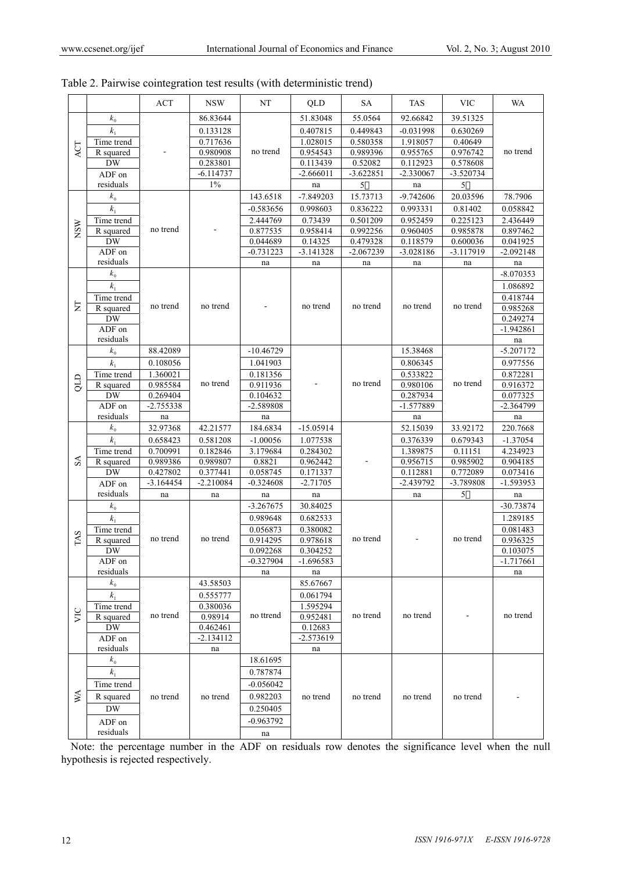| Table 2. Pairwise cointegration test results (with deterministic trend) |  |
|-------------------------------------------------------------------------|--|
|-------------------------------------------------------------------------|--|

|            |            | ACT         | <b>NSW</b>                    | NT          | QLD         | SA          | <b>TAS</b>           | VIC         | WA          |  |
|------------|------------|-------------|-------------------------------|-------------|-------------|-------------|----------------------|-------------|-------------|--|
|            | $k_0$      |             | 86.83644                      | no trend    | 51.83048    | 55.0564     | 92.66842             | 39.51325    |             |  |
|            | $k_{1}$    |             | 0.133128                      |             | 0.407815    | 0.449843    | $-0.031998$          | 0.630269    |             |  |
| ACT        | Time trend |             | 0.717636                      |             | 1.028015    | 0.580358    | 1.918057             | 0.40649     |             |  |
|            | R squared  |             | 0.980908                      |             | 0.954543    | 0.989396    | 0.955765             | 0.976742    | no trend    |  |
|            | <b>DW</b>  |             | 0.283801                      |             | 0.113439    | 0.52082     | 0.112923             | 0.578608    |             |  |
|            | ADF on     |             | -6.114737                     |             | $-2.666011$ | $-3.622851$ | $-2.330067$          | $-3.520734$ |             |  |
|            | residuals  |             | $1\%$                         |             | na          | 5           | na                   | 5           |             |  |
|            | $k_0$      | no trend    |                               | 143.6518    | $-7.849203$ | 15.73713    | $-9.742606$          | 20.03596    | 78.7906     |  |
|            | $k_1$      |             |                               | $-0.583656$ | 0.998603    | 0.836222    | 0.993331             | 0.81402     | 0.058842    |  |
|            | Time trend |             |                               | 2.444769    | 0.73439     | 0.501209    | 0.952459             | 0.225123    | 2.436449    |  |
| NSW        | R squared  |             |                               | 0.877535    | 0.958414    | 0.992256    | 0.960405             | 0.985878    | 0.897462    |  |
|            | <b>DW</b>  |             |                               | 0.044689    | 0.14325     | 0.479328    | 0.118579             | 0.600036    | 0.041925    |  |
|            | ADF on     |             |                               | $-0.731223$ | $-3.141328$ | $-2.067239$ | $-3.028186$          | $-3.117919$ | $-2.092148$ |  |
|            | residuals  |             |                               | na          | na          | na          | na                   | na          | na          |  |
|            | $k_{0}$    |             |                               |             |             |             |                      |             | $-8.070353$ |  |
|            | $k_1$      |             |                               |             |             |             |                      |             | 1.086892    |  |
|            | Time trend |             |                               |             |             |             |                      |             | 0.418744    |  |
| Σ          | R squared  | no trend    | no trend                      |             | no trend    | no trend    | no trend             | no trend    | 0.985268    |  |
|            | <b>DW</b>  |             |                               |             |             |             |                      |             | 0.249274    |  |
|            | ADF on     |             |                               |             |             |             |                      |             | $-1.942861$ |  |
|            | residuals  |             |                               |             |             |             |                      |             | na          |  |
|            | $k_{0}$    | 88.42089    |                               | $-10.46729$ |             |             | 15.38468             |             | $-5.207172$ |  |
|            | $k_{1}$    | 0.108056    |                               | 1.041903    |             |             | 0.806345             |             | 0.977556    |  |
|            | Time trend | 1.360021    | no trend                      | 0.181356    |             |             | 0.533822             |             | 0.872281    |  |
| qrp        | R squared  | 0.985584    |                               | 0.911936    |             | no trend    | 0.980106             | no trend    | 0.916372    |  |
|            | <b>DW</b>  | 0.269404    |                               | 0.104632    |             |             | 0.287934             |             | 0.077325    |  |
|            | ADF on     | $-2.755338$ |                               | -2.589808   |             |             | $-1.577889$          |             | $-2.364799$ |  |
|            | residuals  | na          |                               | na          |             |             | na                   |             | na          |  |
|            | $k_0$      | 32.97368    | 42.21577                      | 184.6834    | $-15.05914$ |             | 52.15039             | 33.92172    | 220.7668    |  |
|            | $k_{1}$    | 0.658423    | 0.581208                      | $-1.00056$  | 1.077538    |             | 0.376339             | 0.679343    | $-1.37054$  |  |
|            | Time trend | 0.700991    | 0.182846                      | 3.179684    | 0.284302    |             | 1.389875             | 0.11151     | 4.234923    |  |
| SA,        | R squared  | 0.989386    | 0.989807                      | 0.8821      | 0.962442    |             | 0.956715             | 0.985902    | 0.904185    |  |
|            | <b>DW</b>  | 0.427802    | 0.377441                      | 0.058745    | 0.171337    |             | 0.112881             | 0.772089    | 0.073416    |  |
|            | ADF on     | $-3.164454$ | $-2.210084$                   | $-0.324608$ | $-2.71705$  |             | $-2.439792$          | -3.789808   | $-1.593953$ |  |
|            | residuals  | na          | na                            | na          | na          |             | na                   | 5           | na          |  |
|            | $k_{0}$    | no trend    | no trend                      | $-3.267675$ | 30.84025    | no trend    |                      | no trend    | $-30.73874$ |  |
|            | $k_{1}$    |             |                               | 0.989648    | 0.682533    |             |                      |             | 1.289185    |  |
|            | Time trend |             |                               | 0.056873    | 0.380082    |             |                      |             | 0.081483    |  |
| <b>TAS</b> | R squared  |             |                               | 0.914295    | 0.978618    |             |                      |             | 0.936325    |  |
|            | <b>DW</b>  |             |                               | 0.092268    | 0.304252    |             |                      |             | 0.103075    |  |
|            | ADF on     |             |                               | $-0.327904$ | $-1.696583$ |             |                      |             | -1.717661   |  |
|            | residuals  |             |                               | na          | na          |             |                      |             | na          |  |
|            | $k_{0}$    | no trend    | 43.58503                      |             | 85.67667    | no trend    | no trend             |             |             |  |
|            | $k_{1}$    |             | 0.555777                      | no ttrend   | 0.061794    |             |                      |             |             |  |
|            | Time trend |             | 0.380036                      |             | 1.595294    |             |                      |             |             |  |
| УIС        | R squared  |             | 0.98914                       |             | 0.952481    |             |                      |             | no trend    |  |
|            | DW         |             | 0.462461<br>$-2.134112$<br>na |             | 0.12683     |             |                      |             |             |  |
|            | ADF on     |             |                               |             | -2.573619   |             |                      |             |             |  |
|            | residuals  |             |                               |             | na          |             |                      |             |             |  |
|            | $k_{0}$    |             | no trend                      | 18.61695    |             |             | no trend<br>no trend | no trend    |             |  |
|            | $k_1$      |             |                               | 0.787874    |             |             |                      |             |             |  |
|            | Time trend |             |                               | $-0.056042$ |             |             |                      |             |             |  |
| ₿          | R squared  |             |                               | 0.982203    | no trend    |             |                      |             |             |  |
|            |            | no trend    |                               |             |             |             |                      |             |             |  |
|            | <b>DW</b>  |             |                               | 0.250405    |             |             |                      |             |             |  |
|            | ADF on     |             |                               | $-0.963792$ |             |             |                      |             |             |  |
|            | residuals  |             |                               | na          |             |             |                      |             |             |  |

Note: the percentage number in the ADF on residuals row denotes the significance level when the null hypothesis is rejected respectively.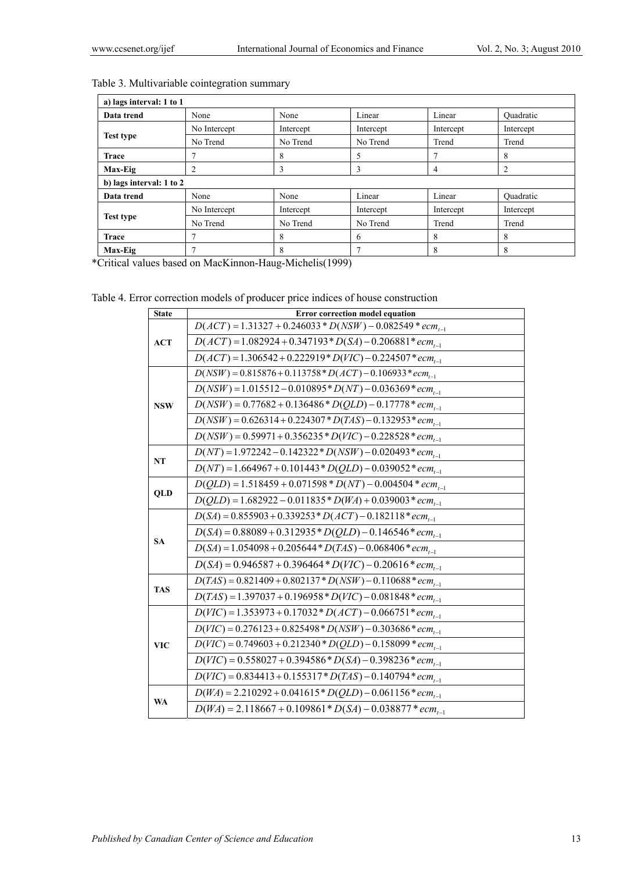| a) lags interval: 1 to 1 |              |           |           |           |           |  |
|--------------------------|--------------|-----------|-----------|-----------|-----------|--|
| Data trend               | None         | None      | Linear    | Linear    | Ouadratic |  |
|                          | No Intercept | Intercept | Intercept | Intercept | Intercept |  |
| <b>Test type</b>         | No Trend     | No Trend  | No Trend  | Trend     | Trend     |  |
| <b>Trace</b>             |              | 8         |           |           | 8         |  |
| Max-Eig                  | 2            | 3         | 3         | 4         | 2         |  |
| b) lags interval: 1 to 2 |              |           |           |           |           |  |
| Data trend               | None         | None      | Linear    | Linear    | Ouadratic |  |
|                          | No Intercept | Intercept | Intercept | Intercept | Intercept |  |
| <b>Test type</b>         | No Trend     | No Trend  | No Trend  | Trend     | Trend     |  |
| <b>Trace</b>             |              | 8         | 6         | 8         | 8         |  |
| Max-Eig                  |              | 8         |           | 8         | 8         |  |

Table 3. Multivariable cointegration summary

\*Critical values based on MacKinnon-Haug-Michelis(1999)

Table 4. Error correction models of producer price indices of house construction

| <b>State</b> | Error correction model equation                                         |
|--------------|-------------------------------------------------------------------------|
|              | $D(ACT) = 1.31327 + 0.246033 * D(NSW) - 0.082549 * ecm$ <sub>t-1</sub>  |
| <b>ACT</b>   | $D(ACT) = 1.082924 + 0.347193 * D(SA) - 0.206881 * ecm_{t-1}$           |
|              | $D(ACT) = 1.306542 + 0.222919 * D(VIC) - 0.224507 * ecm$ <sub>t-1</sub> |
|              | $D(NSW) = 0.815876 + 0.113758 * D(ACT) - 0.106933 * ecm_{t-1}$          |
|              | $D(NSW) = 1.015512 - 0.010895 * D(NT) - 0.036369 * ecm$ <sub>t-1</sub>  |
| $\bf{NSW}$   | $D(NSW) = 0.77682 + 0.136486 * D(QLD) - 0.17778 * ecm$ <sub>t-1</sub>   |
|              | $D(NSW) = 0.626314 + 0.224307 * D(TAS) - 0.132953 * ecm_{t-1}$          |
|              | $D(NSW) = 0.59971 + 0.356235 * D(VIC) - 0.228528 * ecm$ <sub>r-1</sub>  |
|              | $D(NT) = 1.972242 - 0.142322 * D(NSW) - 0.020493 * ecm_{t-1}$           |
| NT           | $D(NT) = 1.664967 + 0.101443 * D(QLD) - 0.039052 * ecm$ <sub>t-1</sub>  |
|              | $D(QLD) = 1.518459 + 0.071598 * D(NT) - 0.004504 * ecm$ <sub>t-1</sub>  |
| QLD          | $D(QLD) = 1.682922 - 0.011835 * D(WA) + 0.039003 * ecm$ <sub>t-1</sub>  |
|              | $D(SA) = 0.855903 + 0.339253 * D(ACT) - 0.182118 * ecm_{t-1}$           |
|              | $D(SA) = 0.88089 + 0.312935 * D(QLD) - 0.146546 * ecm$ <sub>t-1</sub>   |
| <b>SA</b>    | $D(SA) = 1.054098 + 0.205644 * D(TAS) - 0.068406 * ecm_{t-1}$           |
|              | $D(SA) = 0.946587 + 0.396464 * D(VIC) - 0.20616 * ecm_{t-1}$            |
| <b>TAS</b>   | $D(TAS) = 0.821409 + 0.802137 * D(NSW) - 0.110688 * ecm_{t-1}$          |
|              | $D(TAS) = 1.397037 + 0.196958 * D(VIC) - 0.081848 * ecm_{t-1}$          |
|              | $D(VIC) = 1.353973 + 0.17032 * D(ACT) - 0.066751 * ecm$ <sub>t-1</sub>  |
|              | $D(VIC) = 0.276123 + 0.825498 * D(NSW) - 0.303686 * ecm_{t-1}$          |
| <b>VIC</b>   | $D(VIC) = 0.749603 + 0.212340 * D(QLD) - 0.158099 * ecm$ <sub>t-1</sub> |
|              | $D(VIC) = 0.558027 + 0.394586 * D(SA) - 0.398236 * ecm_{t-1}$           |
|              | $D(VIC) = 0.834413 + 0.155317 * D(TAS) - 0.140794 * ecm_{t-1}$          |
|              | $D(WA) = 2.210292 + 0.041615 * D(QLD) - 0.061156 * ecm_{t-1}$           |
| <b>WA</b>    | $D(WA) = 2.118667 + 0.109861 * D(SA) - 0.038877 * ecm$ <sub>t-1</sub>   |